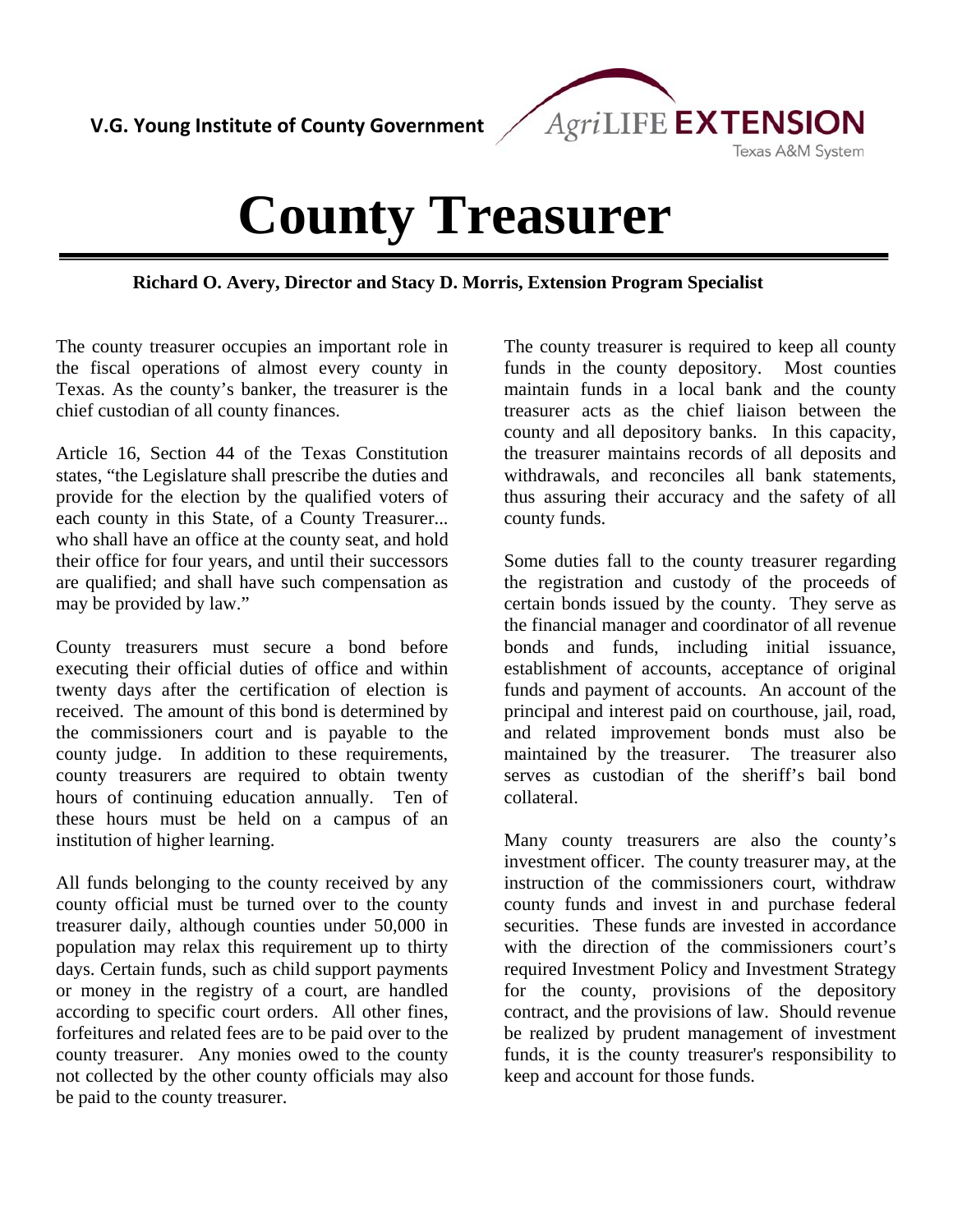

## **County Treasurer**

**Richard O. Avery, Director and Stacy D. Morris, Extension Program Specialist**

The county treasurer occupies an important role in the fiscal operations of almost every county in Texas. As the county's banker, the treasurer is the chief custodian of all county finances.

Article 16, Section 44 of the Texas Constitution states, "the Legislature shall prescribe the duties and provide for the election by the qualified voters of each county in this State, of a County Treasurer... who shall have an office at the county seat, and hold their office for four years, and until their successors are qualified; and shall have such compensation as may be provided by law."

County treasurers must secure a bond before executing their official duties of office and within twenty days after the certification of election is received. The amount of this bond is determined by the commissioners court and is payable to the county judge. In addition to these requirements, county treasurers are required to obtain twenty hours of continuing education annually. Ten of these hours must be held on a campus of an institution of higher learning.

All funds belonging to the county received by any county official must be turned over to the county treasurer daily, although counties under 50,000 in population may relax this requirement up to thirty days. Certain funds, such as child support payments or money in the registry of a court, are handled according to specific court orders. All other fines, forfeitures and related fees are to be paid over to the county treasurer. Any monies owed to the county not collected by the other county officials may also be paid to the county treasurer.

The county treasurer is required to keep all county funds in the county depository. Most counties maintain funds in a local bank and the county treasurer acts as the chief liaison between the county and all depository banks. In this capacity, the treasurer maintains records of all deposits and withdrawals, and reconciles all bank statements, thus assuring their accuracy and the safety of all county funds.

Some duties fall to the county treasurer regarding the registration and custody of the proceeds of certain bonds issued by the county. They serve as the financial manager and coordinator of all revenue bonds and funds, including initial issuance, establishment of accounts, acceptance of original funds and payment of accounts. An account of the principal and interest paid on courthouse, jail, road, and related improvement bonds must also be maintained by the treasurer. The treasurer also serves as custodian of the sheriff's bail bond collateral.

Many county treasurers are also the county's investment officer. The county treasurer may, at the instruction of the commissioners court, withdraw county funds and invest in and purchase federal securities. These funds are invested in accordance with the direction of the commissioners court's required Investment Policy and Investment Strategy for the county, provisions of the depository contract, and the provisions of law. Should revenue be realized by prudent management of investment funds, it is the county treasurer's responsibility to keep and account for those funds.